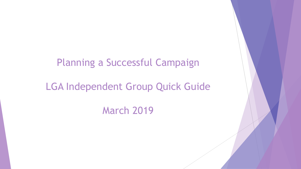### Planning a Successful Campaign

### LGA Independent Group Quick Guide

March 2019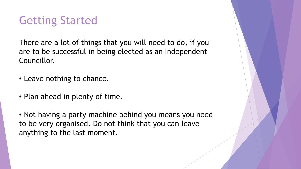# Getting Started

There are a lot of things that you will need to do, if you are to be successful in being elected as an Independent Councillor.

- Leave nothing to chance.
- Plan ahead in plenty of time.

• Not having a party machine behind you means you need to be very organised. Do not think that you can leave anything to the last moment.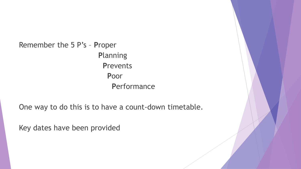Remember the 5 P's - Proper **Planning Prevents** Poor Performance

One way to do this is to have a count-down timetable.

Key dates have been provided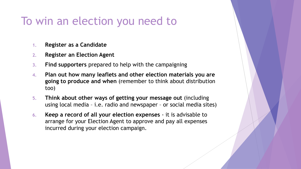## To win an election you need to

- **1. Register as a Candidate**
- **2. Register an Election Agent**
- **3. Find supporters** prepared to help with the campaigning
- **4. Plan out how many leaflets and other election materials you are going to produce and when** (remember to think about distribution too)
- **5. Think about other ways of getting your message out** (including using local media – i.e. radio and newspaper – or social media sites)
- **6. Keep a record of all your election expenses**  it is advisable to arrange for your Election Agent to approve and pay all expenses incurred during your election campaign.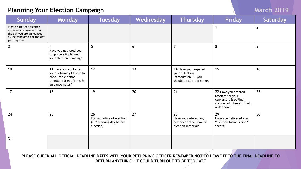#### **Planning Your Election Campaign March 2019 March 2019**

| <b>Sunday</b>                                                                                                                     | Monday                                                                                                                 | <b>Tuesday</b>                                                                       | Wednesday | <b>Thursday</b>                                                                             | <b>Friday</b>                                                                                                 | Saturday       |
|-----------------------------------------------------------------------------------------------------------------------------------|------------------------------------------------------------------------------------------------------------------------|--------------------------------------------------------------------------------------|-----------|---------------------------------------------------------------------------------------------|---------------------------------------------------------------------------------------------------------------|----------------|
| Please note that election<br>expenses commence from<br>the day you are announced<br>as the candidate not the day<br>your register |                                                                                                                        |                                                                                      |           |                                                                                             | 1                                                                                                             | $\overline{2}$ |
| $\overline{3}$                                                                                                                    | 4<br>Have you gathered your<br>supporters & planned<br>your election campaign?                                         | 5                                                                                    | 6         | $\overline{7}$                                                                              | 8                                                                                                             | 9              |
| 10                                                                                                                                | 11 Have you contacted<br>your Returning Officer to<br>check the election<br>timetable & get forms &<br>guidance notes? | 12                                                                                   | 13        | 14 Have you prepared<br>your "Election<br>Introduction"? - you<br>should be at proof stage. | 15                                                                                                            | 16             |
| 17                                                                                                                                | 18                                                                                                                     | 19                                                                                   | 20        | 21                                                                                          | 22 Have you ordered<br>rosettes for your<br>canvassers & polling<br>station volunteers? If not,<br>order now! | 23             |
| 24                                                                                                                                | 25                                                                                                                     | 26<br>Formal notice of election<br>(25 <sup>th</sup> working day before<br>election) | 27        | 28<br>Have you ordered any<br>posters or other similar<br>election materials?               | 29<br>Have you delivered you<br>"Election Introduction"<br>sheets?                                            | 30             |
| 31                                                                                                                                |                                                                                                                        |                                                                                      |           |                                                                                             |                                                                                                               |                |

**PLEASE CHECK ALL OFFICIAL DEADLINE DATES WITH YOUR RETURNING OFFICER REMEMBER NOT TO LEAVE IT TO THE FINAL DEADLINE TO RETURN ANYTHING – IT COULD TURN OUT TO BE TOO LATE**